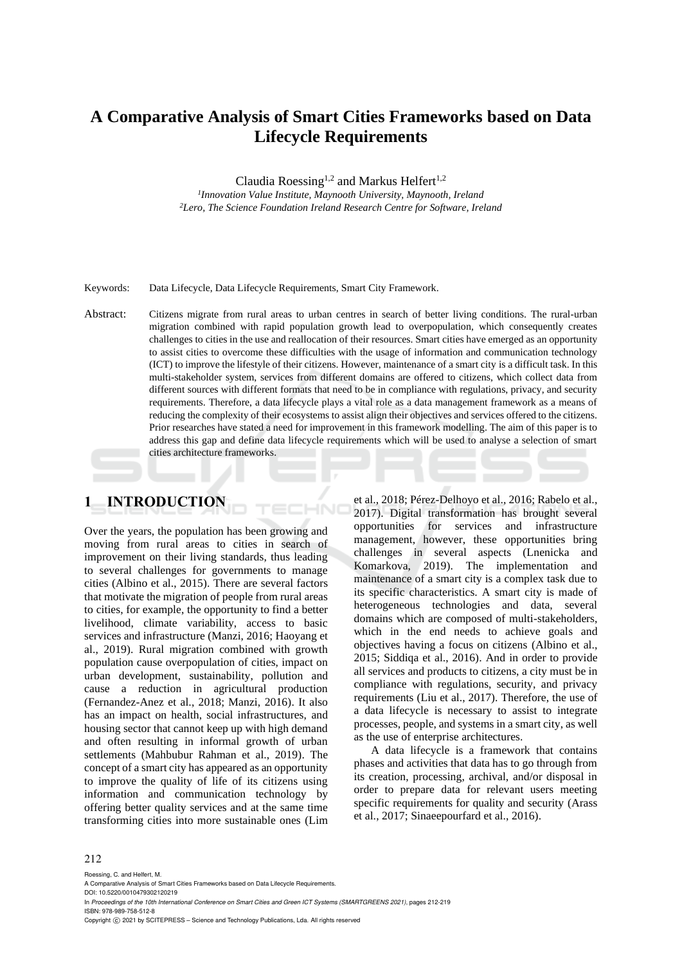# **A Comparative Analysis of Smart Cities Frameworks based on Data Lifecycle Requirements**

Claudia Roessing<sup>1,2</sup> and Markus Helfert<sup>1,2</sup>

*1 Innovation Value Institute, Maynooth University, Maynooth, Ireland <sup>2</sup>Lero, The Science Foundation Ireland Research Centre for Software, Ireland*

Keywords: Data Lifecycle, Data Lifecycle Requirements, Smart City Framework.

Abstract: Citizens migrate from rural areas to urban centres in search of better living conditions. The rural-urban migration combined with rapid population growth lead to overpopulation, which consequently creates challenges to cities in the use and reallocation of their resources. Smart cities have emerged as an opportunity to assist cities to overcome these difficulties with the usage of information and communication technology (ICT) to improve the lifestyle of their citizens. However, maintenance of a smart city is a difficult task. In this multi-stakeholder system, services from different domains are offered to citizens, which collect data from different sources with different formats that need to be in compliance with regulations, privacy, and security requirements. Therefore, a data lifecycle plays a vital role as a data management framework as a means of reducing the complexity of their ecosystems to assist align their objectives and services offered to the citizens. Prior researches have stated a need for improvement in this framework modelling. The aim of this paper is to address this gap and define data lifecycle requirements which will be used to analyse a selection of smart cities architecture frameworks.

 $\neg N$ 

# **1 INTRODUCTION**

Over the years, the population has been growing and moving from rural areas to cities in search of improvement on their living standards, thus leading to several challenges for governments to manage cities (Albino et al., 2015). There are several factors that motivate the migration of people from rural areas to cities, for example, the opportunity to find a better livelihood, climate variability, access to basic services and infrastructure (Manzi, 2016; Haoyang et al., 2019). Rural migration combined with growth population cause overpopulation of cities, impact on urban development, sustainability, pollution and cause a reduction in agricultural production (Fernandez-Anez et al., 2018; Manzi, 2016). It also has an impact on health, social infrastructures, and housing sector that cannot keep up with high demand and often resulting in informal growth of urban settlements (Mahbubur Rahman et al., 2019). The concept of a smart city has appeared as an opportunity to improve the quality of life of its citizens using information and communication technology by offering better quality services and at the same time transforming cities into more sustainable ones (Lim

et al., 2018; Pérez-Delhoyo et al., 2016; Rabelo et al., 2017). Digital transformation has brought several opportunities for services and infrastructure management, however, these opportunities bring challenges in several aspects (Lnenicka and Komarkova, 2019). The implementation and maintenance of a smart city is a complex task due to its specific characteristics. A smart city is made of heterogeneous technologies and data, several domains which are composed of multi-stakeholders, which in the end needs to achieve goals and objectives having a focus on citizens (Albino et al., 2015; Siddiqa et al., 2016). And in order to provide all services and products to citizens, a city must be in compliance with regulations, security, and privacy requirements (Liu et al., 2017). Therefore, the use of a data lifecycle is necessary to assist to integrate processes, people, and systems in a smart city, as well as the use of enterprise architectures.

A data lifecycle is a framework that contains phases and activities that data has to go through from its creation, processing, archival, and/or disposal in order to prepare data for relevant users meeting specific requirements for quality and security (Arass et al., 2017; Sinaeepourfard et al., 2016).

#### 212

Roessing, C. and Helfert, M.

DOI: 10.5220/0010479302120219 In *Proceedings of the 10th International Conference on Smart Cities and Green ICT Systems (SMARTGREENS 2021)*, pages 212-219 ISBN: 978-989-758-512-8

Copyright (C) 2021 by SCITEPRESS - Science and Technology Publications, Lda. All rights reserved

A Comparative Analysis of Smart Cities Frameworks based on Data Lifecycle Requirements.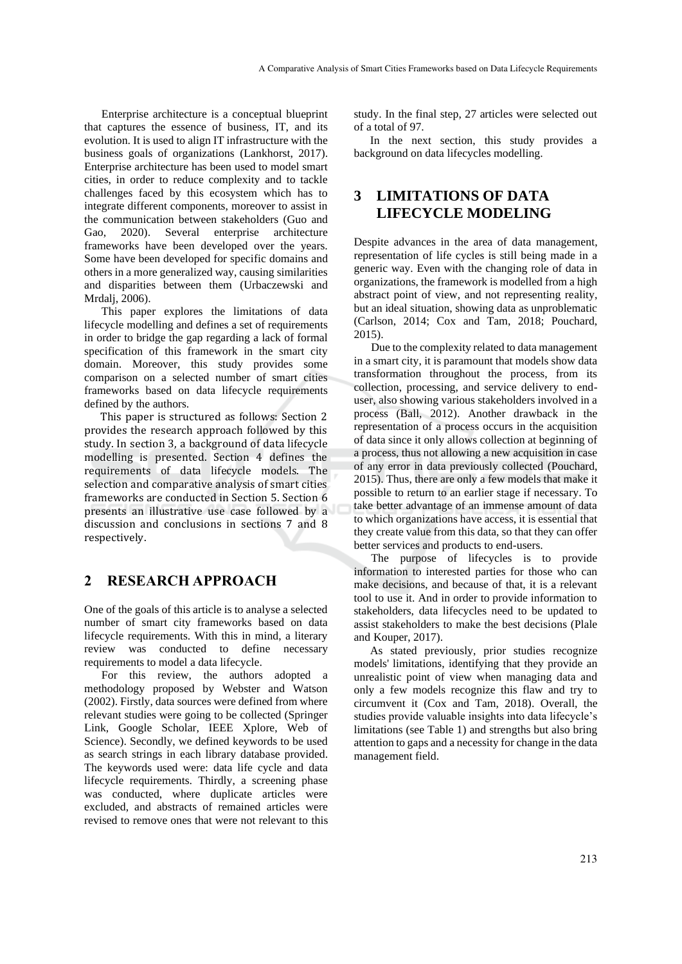Enterprise architecture is a conceptual blueprint that captures the essence of business, IT, and its evolution. It is used to align IT infrastructure with the business goals of organizations (Lankhorst, 2017). Enterprise architecture has been used to model smart cities, in order to reduce complexity and to tackle challenges faced by this ecosystem which has to integrate different components, moreover to assist in the communication between stakeholders (Guo and Gao, 2020). Several enterprise architecture frameworks have been developed over the years. Some have been developed for specific domains and others in a more generalized way, causing similarities and disparities between them (Urbaczewski and Mrdalj, 2006).

This paper explores the limitations of data lifecycle modelling and defines a set of requirements in order to bridge the gap regarding a lack of formal specification of this framework in the smart city domain. Moreover, this study provides some comparison on a selected number of smart cities frameworks based on data lifecycle requirements defined by the authors.

This paper is structured as follows: Section 2 provides the research approach followed by this study. In section 3, a background of data lifecycle modelling is presented. Section 4 defines the requirements of data lifecycle models. The selection and comparative analysis of smart cities frameworks are conducted in Section 5. Section 6 presents an illustrative use case followed by a discussion and conclusions in sections 7 and 8 respectively.

## **2 RESEARCH APPROACH**

One of the goals of this article is to analyse a selected number of smart city frameworks based on data lifecycle requirements. With this in mind, a literary review was conducted to define necessary requirements to model a data lifecycle.

For this review, the authors adopted a methodology proposed by Webster and Watson (2002). Firstly, data sources were defined from where relevant studies were going to be collected (Springer Link, Google Scholar, IEEE Xplore, Web of Science). Secondly, we defined keywords to be used as search strings in each library database provided. The keywords used were: data life cycle and data lifecycle requirements. Thirdly, a screening phase was conducted, where duplicate articles were excluded, and abstracts of remained articles were revised to remove ones that were not relevant to this

study. In the final step, 27 articles were selected out of a total of 97.

In the next section, this study provides a background on data lifecycles modelling.

# **3 LIMITATIONS OF DATA LIFECYCLE MODELING**

Despite advances in the area of data management, representation of life cycles is still being made in a generic way. Even with the changing role of data in organizations, the framework is modelled from a high abstract point of view, and not representing reality, but an ideal situation, showing data as unproblematic (Carlson, 2014; Cox and Tam, 2018; Pouchard, 2015).

Due to the complexity related to data management in a smart city, it is paramount that models show data transformation throughout the process, from its collection, processing, and service delivery to enduser, also showing various stakeholders involved in a process (Ball, 2012). Another drawback in the representation of a process occurs in the acquisition of data since it only allows collection at beginning of a process, thus not allowing a new acquisition in case of any error in data previously collected (Pouchard, 2015). Thus, there are only a few models that make it possible to return to an earlier stage if necessary. To take better advantage of an immense amount of data to which organizations have access, it is essential that they create value from this data, so that they can offer better services and products to end-users.

The purpose of lifecycles is to provide information to interested parties for those who can make decisions, and because of that, it is a relevant tool to use it. And in order to provide information to stakeholders, data lifecycles need to be updated to assist stakeholders to make the best decisions (Plale and Kouper, 2017).

As stated previously, prior studies recognize models' limitations, identifying that they provide an unrealistic point of view when managing data and only a few models recognize this flaw and try to circumvent it (Cox and Tam, 2018). Overall, the studies provide valuable insights into data lifecycle's limitations (see Table 1) and strengths but also bring attention to gaps and a necessity for change in the data management field.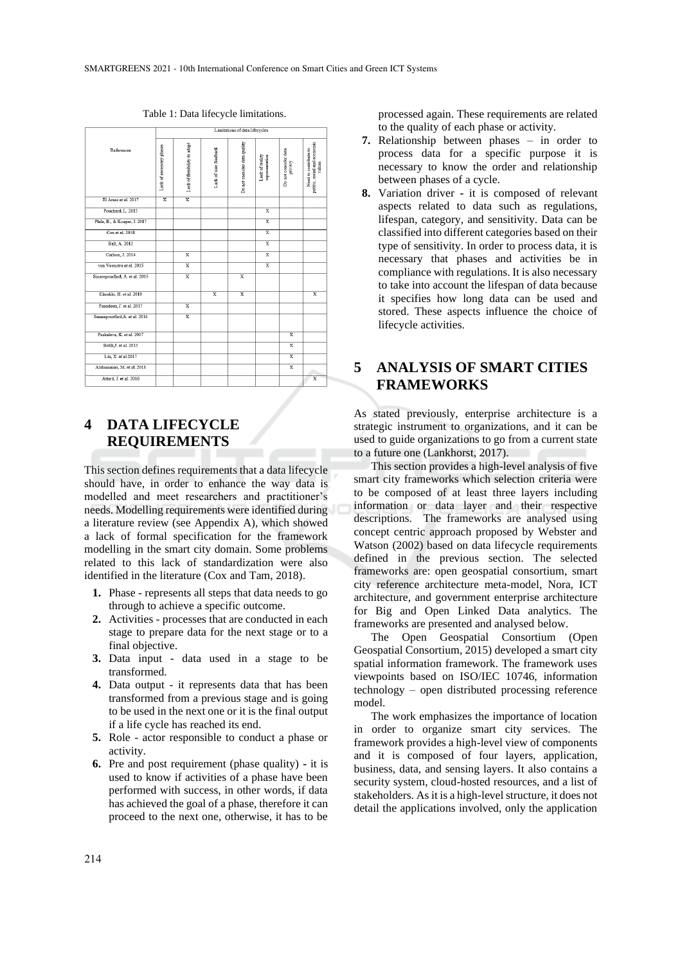|                                | minimum or nerg mecknes  |                              |                         |                              |                                   |                                 |                                                                 |
|--------------------------------|--------------------------|------------------------------|-------------------------|------------------------------|-----------------------------------|---------------------------------|-----------------------------------------------------------------|
| References                     | Lack of necessary phases | Lack of flexibility to adapt | Lack of user feedback   | Do not consider data quality | Lack of reality<br>representation | Do not consider data<br>privacy | politic, social and economic<br>Need to contribute to<br>values |
| El Arass et al. 2017           | $\overline{\mathbf{x}}$  | $\overline{\mathbf{x}}$      |                         |                              |                                   |                                 |                                                                 |
| Pouchard, L. 2015              |                          |                              |                         |                              | $\overline{\mathbf{x}}$           |                                 |                                                                 |
| Plale, B., & Kouper, I. 2017   |                          |                              |                         |                              | $\overline{\mathbf{x}}$           |                                 |                                                                 |
| Cox et al. 2018                |                          |                              |                         |                              | $\overline{\mathbf{x}}$           |                                 |                                                                 |
| Ball, A. 2012                  |                          |                              |                         |                              | $\overline{\mathbf{x}}$           |                                 |                                                                 |
| Carlson, J. 2014               |                          | $\overline{\mathbf{x}}$      |                         |                              | $\overline{\mathbf{x}}$           |                                 |                                                                 |
| van Veenstra et al. 2015       |                          | $\overline{\mathbf{x}}$      |                         |                              | $\overline{\mathbf{x}}$           |                                 |                                                                 |
| Sinaeepourfard, A. et al. 2015 |                          | $\overline{\mathbf{x}}$      |                         | $\overline{\mathbf{x}}$      |                                   |                                 |                                                                 |
| Elmekki, H. et al. 2019        |                          |                              | $\overline{\mathbf{x}}$ | $\overline{\mathbf{x}}$      |                                   |                                 | $\overline{\mathbf{x}}$                                         |
| Faundeen, J. et al. 2017       |                          | $\overline{\mathbf{x}}$      |                         |                              |                                   |                                 |                                                                 |
| Sinaeepourfard, A. et al. 2016 |                          | $\overline{\mathbf{x}}$      |                         |                              |                                   |                                 |                                                                 |
| Paskaleva, K. et al. 2017      |                          |                              |                         |                              |                                   | $\overline{\mathbf{x}}$         |                                                                 |
| Bohli, J. et al. 2015          |                          |                              |                         |                              |                                   | $\overline{\mathbf{x}}$         |                                                                 |
| Liu, X. et al 2017             |                          |                              |                         |                              |                                   | $\overline{\mathbf{x}}$         |                                                                 |
| Alshammari, M. et al. 2018     |                          |                              |                         |                              |                                   | $\overline{\mathbf{x}}$         |                                                                 |
| Attard, J. et al. 2016         |                          |                              |                         |                              |                                   |                                 | $\overline{\mathbf{x}}$                                         |
|                                |                          |                              |                         |                              |                                   |                                 |                                                                 |

Table 1: Data lifecycle limitations.

# **4 DATA LIFECYCLE REQUIREMENTS**

This section defines requirements that a data lifecycle should have, in order to enhance the way data is modelled and meet researchers and practitioner's needs. Modelling requirements were identified during a literature review (see Appendix A), which showed a lack of formal specification for the framework modelling in the smart city domain. Some problems related to this lack of standardization were also identified in the literature (Cox and Tam, 2018).

- **1.** Phase represents all steps that data needs to go through to achieve a specific outcome.
- **2.** Activities processes that are conducted in each stage to prepare data for the next stage or to a final objective.
- **3.** Data input data used in a stage to be transformed.
- **4.** Data output it represents data that has been transformed from a previous stage and is going to be used in the next one or it is the final output if a life cycle has reached its end.
- **5.** Role actor responsible to conduct a phase or activity.
- **6.** Pre and post requirement (phase quality) **-** it is used to know if activities of a phase have been performed with success, in other words, if data has achieved the goal of a phase, therefore it can proceed to the next one, otherwise, it has to be

processed again. These requirements are related to the quality of each phase or activity.

- **7.** Relationship between phases in order to process data for a specific purpose it is necessary to know the order and relationship between phases of a cycle.
- **8.** Variation driver **-** it is composed of relevant aspects related to data such as regulations, lifespan, category, and sensitivity. Data can be classified into different categories based on their type of sensitivity. In order to process data, it is necessary that phases and activities be in compliance with regulations. It is also necessary to take into account the lifespan of data because it specifies how long data can be used and stored. These aspects influence the choice of lifecycle activities.

# **5 ANALYSIS OF SMART CITIES FRAMEWORKS**

As stated previously, enterprise architecture is a strategic instrument to organizations, and it can be used to guide organizations to go from a current state to a future one (Lankhorst, 2017).

This section provides a high-level analysis of five smart city frameworks which selection criteria were to be composed of at least three layers including information or data layer and their respective descriptions. The frameworks are analysed using concept centric approach proposed by Webster and Watson (2002) based on data lifecycle requirements defined in the previous section. The selected frameworks are: open geospatial consortium, smart city reference architecture meta-model, Nora, ICT architecture, and government enterprise architecture for Big and Open Linked Data analytics. The frameworks are presented and analysed below.

The Open Geospatial Consortium (Open Geospatial Consortium, 2015) developed a smart city spatial information framework. The framework uses viewpoints based on ISO/IEC 10746, information technology – open distributed processing reference model.

The work emphasizes the importance of location in order to organize smart city services. The framework provides a high-level view of components and it is composed of four layers, application, business, data, and sensing layers. It also contains a security system, cloud-hosted resources, and a list of stakeholders. As it is a high-level structure, it does not detail the applications involved, only the application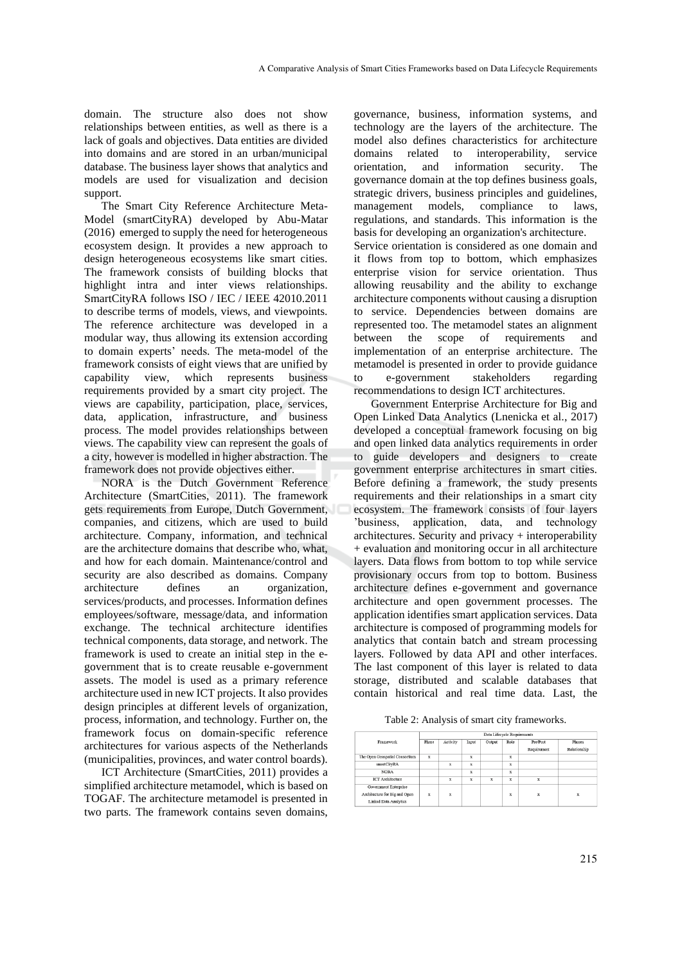domain. The structure also does not show relationships between entities, as well as there is a lack of goals and objectives. Data entities are divided into domains and are stored in an urban/municipal database. The business layer shows that analytics and models are used for visualization and decision support.

The Smart City Reference Architecture Meta-Model (smartCityRA) developed by Abu-Matar (2016) emerged to supply the need for heterogeneous ecosystem design. It provides a new approach to design heterogeneous ecosystems like smart cities. The framework consists of building blocks that highlight intra and inter views relationships. SmartCityRA follows ISO / IEC / IEEE 42010.2011 to describe terms of models, views, and viewpoints. The reference architecture was developed in a modular way, thus allowing its extension according to domain experts' needs. The meta-model of the framework consists of eight views that are unified by capability view, which represents business requirements provided by a smart city project. The views are capability, participation, place, services, data, application, infrastructure, and business process. The model provides relationships between views. The capability view can represent the goals of a city, however is modelled in higher abstraction. The framework does not provide objectives either.

NORA is the Dutch Government Reference Architecture (SmartCities, 2011). The framework gets requirements from Europe, Dutch Government, companies, and citizens, which are used to build architecture. Company, information, and technical are the architecture domains that describe who, what, and how for each domain. Maintenance/control and security are also described as domains. Company architecture defines an organization, services/products, and processes. Information defines employees/software, message/data, and information exchange. The technical architecture identifies technical components, data storage, and network. The framework is used to create an initial step in the egovernment that is to create reusable e-government assets. The model is used as a primary reference architecture used in new ICT projects. It also provides design principles at different levels of organization, process, information, and technology. Further on, the framework focus on domain-specific reference architectures for various aspects of the Netherlands (municipalities, provinces, and water control boards).

ICT Architecture (SmartCities, 2011) provides a simplified architecture metamodel, which is based on TOGAF. The architecture metamodel is presented in two parts. The framework contains seven domains,

governance, business, information systems, and technology are the layers of the architecture. The model also defines characteristics for architecture domains related to interoperability, service orientation, and information security. The governance domain at the top defines business goals, strategic drivers, business principles and guidelines, management models, compliance to laws, regulations, and standards. This information is the basis for developing an organization's architecture. Service orientation is considered as one domain and it flows from top to bottom, which emphasizes enterprise vision for service orientation. Thus allowing reusability and the ability to exchange architecture components without causing a disruption to service. Dependencies between domains are

represented too. The metamodel states an alignment between the scope of requirements and implementation of an enterprise architecture. The metamodel is presented in order to provide guidance to e-government stakeholders regarding recommendations to design ICT architectures.

Government Enterprise Architecture for Big and Open Linked Data Analytics (Lnenicka et al., 2017) developed a conceptual framework focusing on big and open linked data analytics requirements in order to guide developers and designers to create government enterprise architectures in smart cities. Before defining a framework, the study presents requirements and their relationships in a smart city ecosystem. The framework consists of four layers 'business, application, data, and technology architectures. Security and privacy + interoperability + evaluation and monitoring occur in all architecture layers. Data flows from bottom to top while service provisionary occurs from top to bottom. Business architecture defines e-government and governance architecture and open government processes. The application identifies smart application services. Data architecture is composed of programming models for analytics that contain batch and stream processing layers. Followed by data API and other interfaces. The last component of this layer is related to data storage, distributed and scalable databases that contain historical and real time data. Last, the

Table 2: Analysis of smart city frameworks.

|                                | Data Lifecycle Requirements |          |             |        |                         |             |               |
|--------------------------------|-----------------------------|----------|-------------|--------|-------------------------|-------------|---------------|
| Framework                      | Phase                       | Activity | Input       | Output | Role                    | Pre/Post    | <b>Phases</b> |
|                                |                             |          |             |        |                         | Requirement | Relationship  |
| The Open Geospatial Consortium | $\bf x$                     |          | $\mathbf x$ |        | x                       |             |               |
| smartCitvRA                    |                             | x        | x           |        | x                       |             |               |
| <b>NORA</b>                    |                             |          | $\bf x$     |        | $\bar{x}$               |             |               |
| <b>ICT</b> Architecture        |                             | x        | $\mathbf x$ | x      | x                       | x           |               |
| Government Enterprise          |                             |          |             |        |                         |             |               |
| Architecture for Big and Open  | x                           | x        |             |        | $\overline{\mathbf{x}}$ | x           | $\mathbf x$   |
| <b>Linked Data Analytics</b>   |                             |          |             |        |                         |             |               |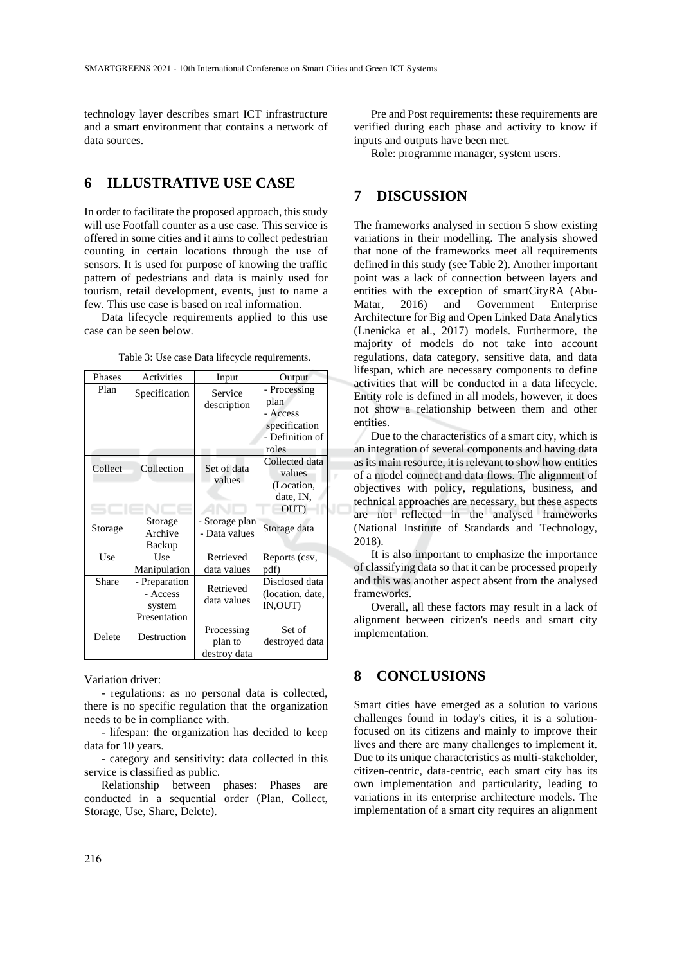technology layer describes smart ICT infrastructure and a smart environment that contains a network of data sources.

# **6 ILLUSTRATIVE USE CASE**

In order to facilitate the proposed approach, this study will use Footfall counter as a use case. This service is offered in some cities and it aims to collect pedestrian counting in certain locations through the use of sensors. It is used for purpose of knowing the traffic pattern of pedestrians and data is mainly used for tourism, retail development, events, just to name a few. This use case is based on real information.

Data lifecycle requirements applied to this use case can be seen below.

| Phases  | Activities                                        | Input                                 | Output                                                                        |
|---------|---------------------------------------------------|---------------------------------------|-------------------------------------------------------------------------------|
| Plan    | Specification                                     | Service<br>description                | - Processing<br>plan<br>- Access<br>specification<br>- Definition of<br>roles |
| Collect | Collection                                        | Set of data<br>values                 | Collected data<br>values<br>(Location,<br>date, IN,<br>OUT)                   |
| Storage | Storage<br>Archive<br>Backup                      | - Storage plan<br>- Data values       | Storage data                                                                  |
| Use     | Use<br>Manipulation                               | Retrieved<br>data values              | Reports (csv,<br>pdf)                                                         |
| Share   | Preparation<br>- Access<br>system<br>Presentation | Retrieved<br>data values              | Disclosed data<br>(location, date,<br>IN,OUT)                                 |
| Delete  | Destruction                                       | Processing<br>plan to<br>destroy data | Set of<br>destroyed data                                                      |

Table 3: Use case Data lifecycle requirements.

Variation driver:

- regulations: as no personal data is collected, there is no specific regulation that the organization needs to be in compliance with.

- lifespan: the organization has decided to keep data for 10 years.

- category and sensitivity: data collected in this service is classified as public.

Relationship between phases: Phases are conducted in a sequential order (Plan, Collect, Storage, Use, Share, Delete).

Pre and Post requirements: these requirements are verified during each phase and activity to know if inputs and outputs have been met.

Role: programme manager, system users.

#### **7 DISCUSSION**

The frameworks analysed in section 5 show existing variations in their modelling. The analysis showed that none of the frameworks meet all requirements defined in this study (see Table 2). Another important point was a lack of connection between layers and entities with the exception of smartCityRA (Abu-Matar, 2016) and Government Enterprise Architecture for Big and Open Linked Data Analytics (Lnenicka et al., 2017) models. Furthermore, the majority of models do not take into account regulations, data category, sensitive data, and data lifespan, which are necessary components to define activities that will be conducted in a data lifecycle. Entity role is defined in all models, however, it does not show a relationship between them and other entities.

Due to the characteristics of a smart city, which is an integration of several components and having data as its main resource, it is relevant to show how entities of a model connect and data flows. The alignment of objectives with policy, regulations, business, and technical approaches are necessary, but these aspects are not reflected in the analysed frameworks (National Institute of Standards and Technology, 2018).

It is also important to emphasize the importance of classifying data so that it can be processed properly and this was another aspect absent from the analysed frameworks.

Overall, all these factors may result in a lack of alignment between citizen's needs and smart city implementation.

### **8 CONCLUSIONS**

Smart cities have emerged as a solution to various challenges found in today's cities, it is a solutionfocused on its citizens and mainly to improve their lives and there are many challenges to implement it. Due to its unique characteristics as multi-stakeholder, citizen-centric, data-centric, each smart city has its own implementation and particularity, leading to variations in its enterprise architecture models. The implementation of a smart city requires an alignment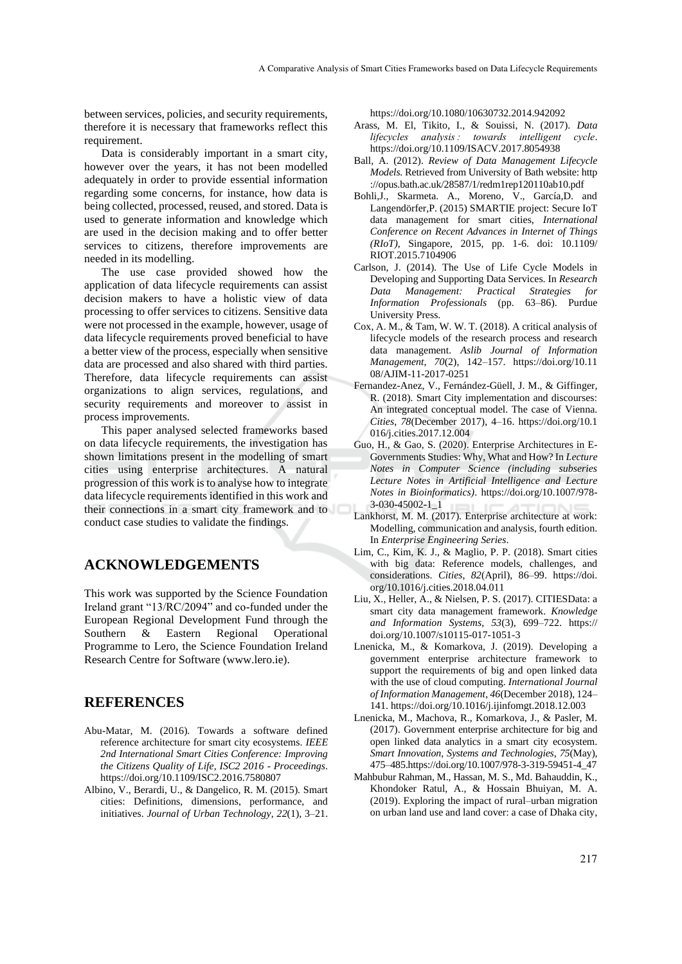between services, policies, and security requirements, therefore it is necessary that frameworks reflect this requirement.

Data is considerably important in a smart city, however over the years, it has not been modelled adequately in order to provide essential information regarding some concerns, for instance, how data is being collected, processed, reused, and stored. Data is used to generate information and knowledge which are used in the decision making and to offer better services to citizens, therefore improvements are needed in its modelling.

The use case provided showed how the application of data lifecycle requirements can assist decision makers to have a holistic view of data processing to offer services to citizens. Sensitive data were not processed in the example, however, usage of data lifecycle requirements proved beneficial to have a better view of the process, especially when sensitive data are processed and also shared with third parties. Therefore, data lifecycle requirements can assist organizations to align services, regulations, and security requirements and moreover to assist in process improvements.

This paper analysed selected frameworks based on data lifecycle requirements, the investigation has shown limitations present in the modelling of smart cities using enterprise architectures. A natural progression of this work is to analyse how to integrate data lifecycle requirements identified in this work and their connections in a smart city framework and to conduct case studies to validate the findings.

#### **ACKNOWLEDGEMENTS**

This work was supported by the Science Foundation Ireland grant "13/RC/2094" and co-funded under the European Regional Development Fund through the Southern & Eastern Regional Operational Programme to Lero, the Science Foundation Ireland Research Centre for Software (www.lero.ie).

#### **REFERENCES**

- Abu-Matar, M. (2016). Towards a software defined reference architecture for smart city ecosystems. *IEEE 2nd International Smart Cities Conference: Improving the Citizens Quality of Life, ISC2 2016 - Proceedings*. https://doi.org/10.1109/ISC2.2016.7580807
- Albino, V., Berardi, U., & Dangelico, R. M. (2015). Smart cities: Definitions, dimensions, performance, and initiatives. *Journal of Urban Technology*, *22*(1), 3–21.

https://doi.org/10.1080/10630732.2014.942092

- Arass, M. El, Tikito, I., & Souissi, N. (2017). *Data lifecycles analysis : towards intelligent cycle*. https://doi.org/10.1109/ISACV.2017.8054938
- Ball, A. (2012). *Review of Data Management Lifecycle Models*. Retrieved from University of Bath website: http ://opus.bath.ac.uk/28587/1/redm1rep120110ab10.pdf
- Bohli,J., Skarmeta. A., Moreno, V., García,D. and Langendörfer,P. (2015) SMARTIE project: Secure IoT data management for smart cities, *International Conference on Recent Advances in Internet of Things (RIoT)*, Singapore, 2015, pp. 1-6. doi: 10.1109/ RIOT.2015.7104906
- Carlson, J. (2014). The Use of Life Cycle Models in Developing and Supporting Data Services. In *Research Data Management: Practical Strategies for Information Professionals* (pp. 63–86). Purdue University Press.
- Cox, A. M., & Tam, W. W. T. (2018). A critical analysis of lifecycle models of the research process and research data management. *Aslib Journal of Information Management*, *70*(2), 142–157. https://doi.org/10.11 08/AJIM-11-2017-0251
- Fernandez-Anez, V., Fernández-Güell, J. M., & Giffinger, R. (2018). Smart City implementation and discourses: An integrated conceptual model. The case of Vienna. *Cities*, *78*(December 2017), 4–16. https://doi.org/10.1 016/j.cities.2017.12.004
- Guo, H., & Gao, S. (2020). Enterprise Architectures in E-Governments Studies: Why, What and How? In *Lecture Notes in Computer Science (including subseries Lecture Notes in Artificial Intelligence and Lecture Notes in Bioinformatics)*. https://doi.org/10.1007/978- 3-030-45002-1\_1
- Lankhorst, M. M. (2017). Enterprise architecture at work: Modelling, communication and analysis, fourth edition. In *Enterprise Engineering Series*.
- Lim, C., Kim, K. J., & Maglio, P. P. (2018). Smart cities with big data: Reference models, challenges, and considerations. *Cities*, *82*(April), 86–99. https://doi. org/10.1016/j.cities.2018.04.011
- Liu, X., Heller, A., & Nielsen, P. S. (2017). CITIESData: a smart city data management framework. *Knowledge and Information Systems*, *53*(3), 699–722. https:// doi.org/10.1007/s10115-017-1051-3
- Lnenicka, M., & Komarkova, J. (2019). Developing a government enterprise architecture framework to support the requirements of big and open linked data with the use of cloud computing. *International Journal of Information Management*, *46*(December 2018), 124– 141. https://doi.org/10.1016/j.ijinfomgt.2018.12.003
- Lnenicka, M., Machova, R., Komarkova, J., & Pasler, M. (2017). Government enterprise architecture for big and open linked data analytics in a smart city ecosystem. *Smart Innovation, Systems and Technologies*, *75*(May), 475–485.https://doi.org/10.1007/978-3-319-59451-4\_47
- Mahbubur Rahman, M., Hassan, M. S., Md. Bahauddin, K., Khondoker Ratul, A., & Hossain Bhuiyan, M. A. (2019). Exploring the impact of rural–urban migration on urban land use and land cover: a case of Dhaka city,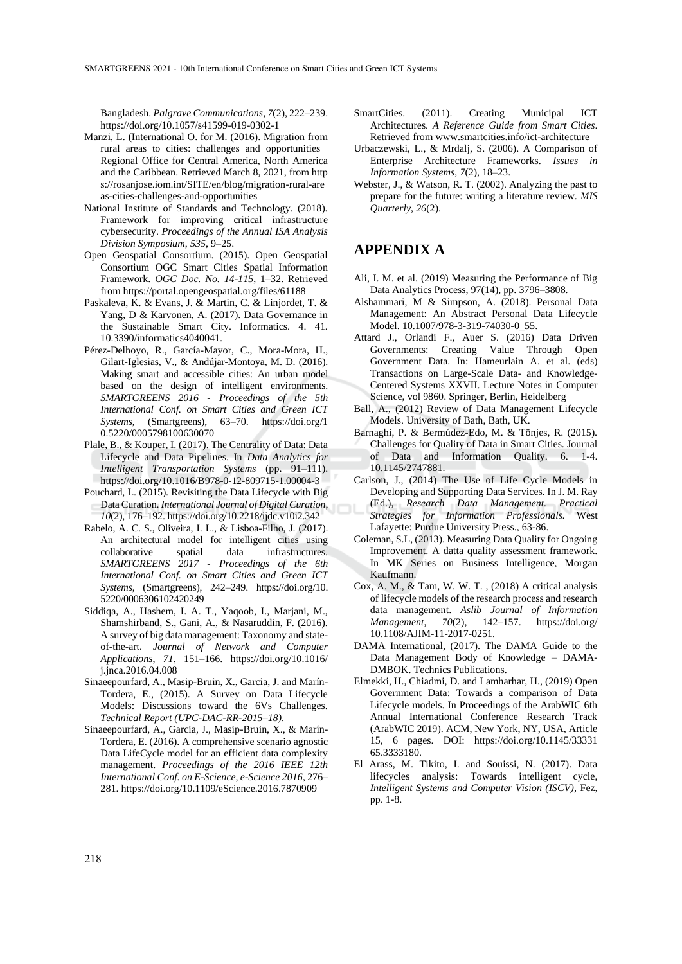Bangladesh. *Palgrave Communications*, *7*(2), 222–239. https://doi.org/10.1057/s41599-019-0302-1

- Manzi, L. (International O. for M. (2016). Migration from rural areas to cities: challenges and opportunities | Regional Office for Central America, North America and the Caribbean. Retrieved March 8, 2021, from http s://rosanjose.iom.int/SITE/en/blog/migration-rural-are as-cities-challenges-and-opportunities
- National Institute of Standards and Technology. (2018). Framework for improving critical infrastructure cybersecurity. *Proceedings of the Annual ISA Analysis Division Symposium*, *535*, 9–25.
- Open Geospatial Consortium. (2015). Open Geospatial Consortium OGC Smart Cities Spatial Information Framework. *OGC Doc. No. 14-115*, 1–32. Retrieved from https://portal.opengeospatial.org/files/61188
- Paskaleva, K. & Evans, J. & Martin, C. & Linjordet, T. & Yang, D & Karvonen, A. (2017). Data Governance in the Sustainable Smart City. Informatics. 4. 41. 10.3390/informatics4040041.
- Pérez-Delhoyo, R., García-Mayor, C., Mora-Mora, H., Gilart-Iglesias, V., & Andújar-Montoya, M. D. (2016). Making smart and accessible cities: An urban model based on the design of intelligent environments. *SMARTGREENS 2016 - Proceedings of the 5th International Conf. on Smart Cities and Green ICT Systems*, (Smartgreens), 63–70. https://doi.org/1 0.5220/0005798100630070
- Plale, B., & Kouper, I. (2017). The Centrality of Data: Data Lifecycle and Data Pipelines. In *Data Analytics for Intelligent Transportation Systems* (pp. 91–111). https://doi.org/10.1016/B978-0-12-809715-1.00004-3
- Pouchard, L. (2015). Revisiting the Data Lifecycle with Big Data Curation. *International Journal of Digital Curation*, *10*(2), 176–192. https://doi.org/10.2218/ijdc.v10i2.342
- Rabelo, A. C. S., Oliveira, I. L., & Lisboa-Filho, J. (2017). An architectural model for intelligent cities using collaborative spatial data infrastructures. *SMARTGREENS 2017 - Proceedings of the 6th International Conf. on Smart Cities and Green ICT Systems*, (Smartgreens), 242–249. https://doi.org/10. 5220/0006306102420249
- Siddiqa, A., Hashem, I. A. T., Yaqoob, I., Marjani, M., Shamshirband, S., Gani, A., & Nasaruddin, F. (2016). A survey of big data management: Taxonomy and stateof-the-art. *Journal of Network and Computer Applications*, *71*, 151–166. https://doi.org/10.1016/ j.jnca.2016.04.008
- Sinaeepourfard, A., Masip-Bruin, X., Garcia, J. and Marín-Tordera, E., (2015). A Survey on Data Lifecycle Models: Discussions toward the 6Vs Challenges. *Technical Report (UPC-DAC-RR-2015–18)*.
- Sinaeepourfard, A., Garcia, J., Masip-Bruin, X., & Marín-Tordera, E. (2016). A comprehensive scenario agnostic Data LifeCycle model for an efficient data complexity management. *Proceedings of the 2016 IEEE 12th International Conf. on E-Science, e-Science 2016*, 276– 281. https://doi.org/10.1109/eScience.2016.7870909
- SmartCities. (2011). Creating Municipal ICT Architectures. *A Reference Guide from Smart Cities*. Retrieved from www.smartcities.info/ict-architecture
- Urbaczewski, L., & Mrdalj, S. (2006). A Comparison of Enterprise Architecture Frameworks. *Issues in Information Systems*, *7*(2), 18–23.
- Webster, J., & Watson, R. T. (2002). Analyzing the past to prepare for the future: writing a literature review. *MIS Quarterly*, *26*(2).

## **APPENDIX A**

- Ali, I. M. et al. (2019) Measuring the Performance of Big Data Analytics Process, 97(14), pp. 3796–3808.
- Alshammari, M & Simpson, A. (2018). Personal Data Management: An Abstract Personal Data Lifecycle Model. 10.1007/978-3-319-74030-0\_55.
- Attard J., Orlandi F., Auer S. (2016) Data Driven Governments: Creating Value Through Open Government Data. In: Hameurlain A. et al. (eds) Transactions on Large-Scale Data- and Knowledge-Centered Systems XXVII. Lecture Notes in Computer Science, vol 9860. Springer, Berlin, Heidelberg
- Ball, A., (2012) Review of Data Management Lifecycle Models. University of Bath, Bath, UK.
- Barnaghi, P. & Bermúdez-Edo, M. & Tönjes, R. (2015). Challenges for Quality of Data in Smart Cities. Journal of Data and Information Quality. 6. 1-4. 10.1145/2747881.
- Carlson, J., (2014) The Use of Life Cycle Models in Developing and Supporting Data Services. In J. M. Ray (Ed.), *Research Data Management. Practical Strategies for Information Professionals.* West Lafayette: Purdue University Press., 63-86.
- Coleman, S.L, (2013). Measuring Data Quality for Ongoing Improvement. A datta quality assessment framework. In MK Series on Business Intelligence, Morgan Kaufmann.
- Cox, A. M., & Tam, W. W. T. , (2018) A critical analysis of lifecycle models of the research process and research data management. *Aslib Journal of Information Management*, *70*(2), 142–157. https://doi.org/ 10.1108/AJIM-11-2017-0251.
- DAMA International, (2017). The DAMA Guide to the Data Management Body of Knowledge – DAMA-DMBOK. Technics Publications.
- Elmekki, H., Chiadmi, D. and Lamharhar, H., (2019) Open Government Data: Towards a comparison of Data Lifecycle models. In Proceedings of the ArabWIC 6th Annual International Conference Research Track (ArabWIC 2019). ACM, New York, NY, USA, Article 15, 6 pages. DOI: https://doi.org/10.1145/33331 65.3333180.
- El Arass, M. Tikito, I. and Souissi, N. (2017). Data lifecycles analysis: Towards intelligent cycle, *Intelligent Systems and Computer Vision (ISCV)*, Fez, pp. 1-8.